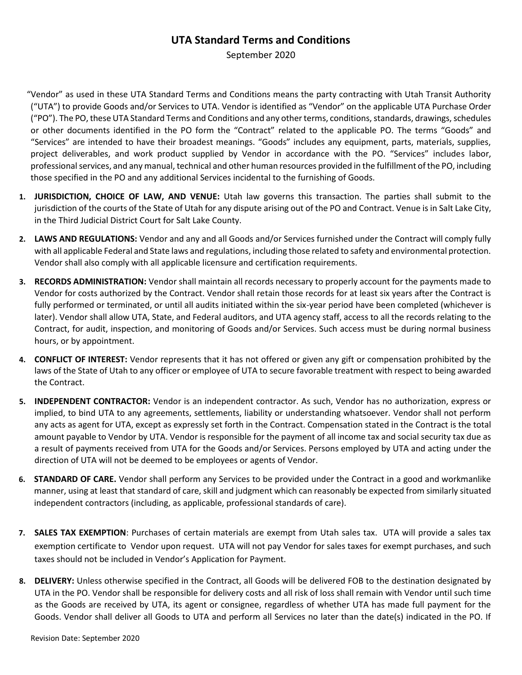September 2020

- "Vendor" as used in these UTA Standard Terms and Conditions means the party contracting with Utah Transit Authority ("UTA") to provide Goods and/or Services to UTA. Vendor is identified as "Vendor" on the applicable UTA Purchase Order ("PO"). The PO, these UTA Standard Terms and Conditions and any other terms, conditions, standards, drawings, schedules or other documents identified in the PO form the "Contract" related to the applicable PO. The terms "Goods" and "Services" are intended to have their broadest meanings. "Goods" includes any equipment, parts, materials, supplies, project deliverables, and work product supplied by Vendor in accordance with the PO. "Services" includes labor, professional services, and any manual, technical and other human resources provided in the fulfillment of the PO, including those specified in the PO and any additional Services incidental to the furnishing of Goods.
- **1. JURISDICTION, CHOICE OF LAW, AND VENUE:** Utah law governs this transaction. The parties shall submit to the jurisdiction of the courts of the State of Utah for any dispute arising out of the PO and Contract. Venue is in Salt Lake City, in the Third Judicial District Court for Salt Lake County.
- **2. LAWS AND REGULATIONS:** Vendor and any and all Goods and/or Services furnished under the Contract will comply fully with all applicable Federal and State laws and regulations, including those related to safety and environmental protection. Vendor shall also comply with all applicable licensure and certification requirements.
- **3. RECORDS ADMINISTRATION:** Vendor shall maintain all records necessary to properly account for the payments made to Vendor for costs authorized by the Contract. Vendor shall retain those records for at least six years after the Contract is fully performed or terminated, or until all audits initiated within the six-year period have been completed (whichever is later). Vendor shall allow UTA, State, and Federal auditors, and UTA agency staff, access to all the records relating to the Contract, for audit, inspection, and monitoring of Goods and/or Services. Such access must be during normal business hours, or by appointment.
- **4. CONFLICT OF INTEREST:** Vendor represents that it has not offered or given any gift or compensation prohibited by the laws of the State of Utah to any officer or employee of UTA to secure favorable treatment with respect to being awarded the Contract.
- **5. INDEPENDENT CONTRACTOR:** Vendor is an independent contractor. As such, Vendor has no authorization, express or implied, to bind UTA to any agreements, settlements, liability or understanding whatsoever. Vendor shall not perform any acts as agent for UTA, except as expressly set forth in the Contract. Compensation stated in the Contract is the total amount payable to Vendor by UTA. Vendor is responsible for the payment of all income tax and social security tax due as a result of payments received from UTA for the Goods and/or Services. Persons employed by UTA and acting under the direction of UTA will not be deemed to be employees or agents of Vendor.
- **6. STANDARD OF CARE.** Vendor shall perform any Services to be provided under the Contract in a good and workmanlike manner, using at least that standard of care, skill and judgment which can reasonably be expected from similarly situated independent contractors (including, as applicable, professional standards of care).
- **7. SALES TAX EXEMPTION**: Purchases of certain materials are exempt from Utah sales tax. UTA will provide a sales tax exemption certificate to Vendor upon request. UTA will not pay Vendor for sales taxes for exempt purchases, and such taxes should not be included in Vendor's Application for Payment.
- **8. DELIVERY:** Unless otherwise specified in the Contract, all Goods will be delivered FOB to the destination designated by UTA in the PO. Vendor shall be responsible for delivery costs and all risk of loss shall remain with Vendor until such time as the Goods are received by UTA, its agent or consignee, regardless of whether UTA has made full payment for the Goods. Vendor shall deliver all Goods to UTA and perform all Services no later than the date(s) indicated in the PO. If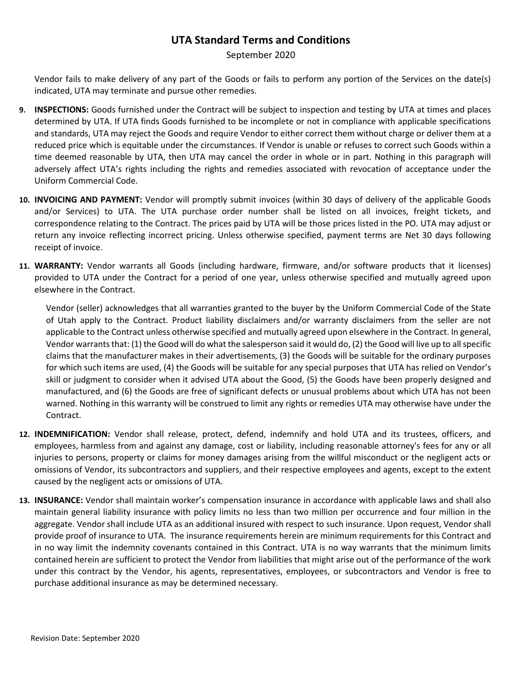September 2020

Vendor fails to make delivery of any part of the Goods or fails to perform any portion of the Services on the date(s) indicated, UTA may terminate and pursue other remedies.

- **9. INSPECTIONS:** Goods furnished under the Contract will be subject to inspection and testing by UTA at times and places determined by UTA. If UTA finds Goods furnished to be incomplete or not in compliance with applicable specifications and standards, UTA may reject the Goods and require Vendor to either correct them without charge or deliver them at a reduced price which is equitable under the circumstances. If Vendor is unable or refuses to correct such Goods within a time deemed reasonable by UTA, then UTA may cancel the order in whole or in part. Nothing in this paragraph will adversely affect UTA's rights including the rights and remedies associated with revocation of acceptance under the Uniform Commercial Code.
- **10. INVOICING AND PAYMENT:** Vendor will promptly submit invoices (within 30 days of delivery of the applicable Goods and/or Services) to UTA. The UTA purchase order number shall be listed on all invoices, freight tickets, and correspondence relating to the Contract. The prices paid by UTA will be those prices listed in the PO. UTA may adjust or return any invoice reflecting incorrect pricing. Unless otherwise specified, payment terms are Net 30 days following receipt of invoice.
- **11. WARRANTY:** Vendor warrants all Goods (including hardware, firmware, and/or software products that it licenses) provided to UTA under the Contract for a period of one year, unless otherwise specified and mutually agreed upon elsewhere in the Contract.

Vendor (seller) acknowledges that all warranties granted to the buyer by the Uniform Commercial Code of the State of Utah apply to the Contract. Product liability disclaimers and/or warranty disclaimers from the seller are not applicable to the Contract unless otherwise specified and mutually agreed upon elsewhere in the Contract. In general, Vendor warrants that: (1) the Good will do what the salesperson said it would do, (2) the Good will live up to all specific claims that the manufacturer makes in their advertisements, (3) the Goods will be suitable for the ordinary purposes for which such items are used, (4) the Goods will be suitable for any special purposes that UTA has relied on Vendor's skill or judgment to consider when it advised UTA about the Good, (5) the Goods have been properly designed and manufactured, and (6) the Goods are free of significant defects or unusual problems about which UTA has not been warned. Nothing in this warranty will be construed to limit any rights or remedies UTA may otherwise have under the Contract.

- **12. INDEMNIFICATION:** Vendor shall release, protect, defend, indemnify and hold UTA and its trustees, officers, and employees, harmless from and against any damage, cost or liability, including reasonable attorney's fees for any or all injuries to persons, property or claims for money damages arising from the willful misconduct or the negligent acts or omissions of Vendor, its subcontractors and suppliers, and their respective employees and agents, except to the extent caused by the negligent acts or omissions of UTA.
- **13. INSURANCE:** Vendor shall maintain worker's compensation insurance in accordance with applicable laws and shall also maintain general liability insurance with policy limits no less than two million per occurrence and four million in the aggregate. Vendor shall include UTA as an additional insured with respect to such insurance. Upon request, Vendor shall provide proof of insurance to UTA. The insurance requirements herein are minimum requirements for this Contract and in no way limit the indemnity covenants contained in this Contract. UTA is no way warrants that the minimum limits contained herein are sufficient to protect the Vendor from liabilities that might arise out of the performance of the work under this contract by the Vendor, his agents, representatives, employees, or subcontractors and Vendor is free to purchase additional insurance as may be determined necessary.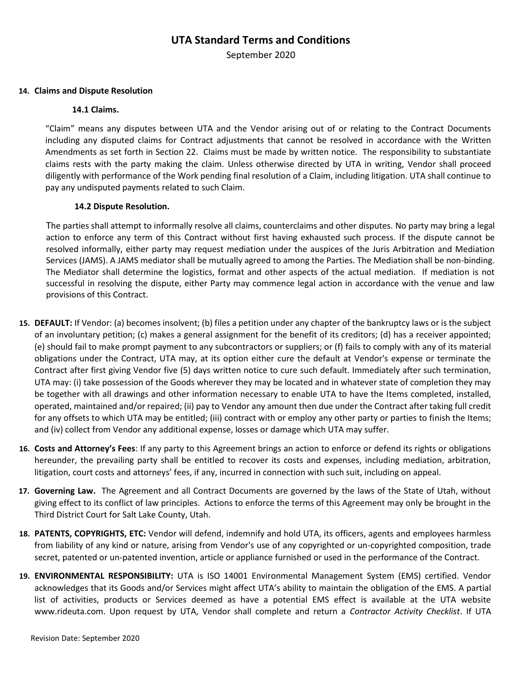September 2020

#### **14. Claims and Dispute Resolution**

#### **14.1 Claims.**

"Claim" means any disputes between UTA and the Vendor arising out of or relating to the Contract Documents including any disputed claims for Contract adjustments that cannot be resolved in accordance with the Written Amendments as set forth in Section 22. Claims must be made by written notice. The responsibility to substantiate claims rests with the party making the claim. Unless otherwise directed by UTA in writing, Vendor shall proceed diligently with performance of the Work pending final resolution of a Claim, including litigation. UTA shall continue to pay any undisputed payments related to such Claim.

### **14.2 Dispute Resolution.**

The parties shall attempt to informally resolve all claims, counterclaims and other disputes. No party may bring a legal action to enforce any term of this Contract without first having exhausted such process. If the dispute cannot be resolved informally, either party may request mediation under the auspices of the Juris Arbitration and Mediation Services (JAMS). A JAMS mediator shall be mutually agreed to among the Parties. The Mediation shall be non-binding. The Mediator shall determine the logistics, format and other aspects of the actual mediation. If mediation is not successful in resolving the dispute, either Party may commence legal action in accordance with the venue and law provisions of this Contract.

- **15. DEFAULT:** If Vendor: (a) becomes insolvent; (b) files a petition under any chapter of the bankruptcy laws or is the subject of an involuntary petition; (c) makes a general assignment for the benefit of its creditors; (d) has a receiver appointed; (e) should fail to make prompt payment to any subcontractors or suppliers; or (f) fails to comply with any of its material obligations under the Contract, UTA may, at its option either cure the default at Vendor's expense or terminate the Contract after first giving Vendor five (5) days written notice to cure such default. Immediately after such termination, UTA may: (i) take possession of the Goods wherever they may be located and in whatever state of completion they may be together with all drawings and other information necessary to enable UTA to have the Items completed, installed, operated, maintained and/or repaired; (ii) pay to Vendor any amount then due under the Contract after taking full credit for any offsets to which UTA may be entitled; (iii) contract with or employ any other party or parties to finish the Items; and (iv) collect from Vendor any additional expense, losses or damage which UTA may suffer.
- **16. Costs and Attorney's Fees**: If any party to this Agreement brings an action to enforce or defend its rights or obligations hereunder, the prevailing party shall be entitled to recover its costs and expenses, including mediation, arbitration, litigation, court costs and attorneys' fees, if any, incurred in connection with such suit, including on appeal.
- **17. Governing Law.** The Agreement and all Contract Documents are governed by the laws of the State of Utah, without giving effect to its conflict of law principles. Actions to enforce the terms of this Agreement may only be brought in the Third District Court for Salt Lake County, Utah.
- **18. PATENTS, COPYRIGHTS, ETC:** Vendor will defend, indemnify and hold UTA, its officers, agents and employees harmless from liability of any kind or nature, arising from Vendor's use of any copyrighted or un-copyrighted composition, trade secret, patented or un-patented invention, article or appliance furnished or used in the performance of the Contract.
- **19. ENVIRONMENTAL RESPONSIBILITY:** UTA is ISO 14001 Environmental Management System (EMS) certified. Vendor acknowledges that its Goods and/or Services might affect UTA's ability to maintain the obligation of the EMS. A partial list of activities, products or Services deemed as have a potential EMS effect is available at the UTA website www.rideuta.com. Upon request by UTA, Vendor shall complete and return a *Contractor Activity Checklist*. If UTA